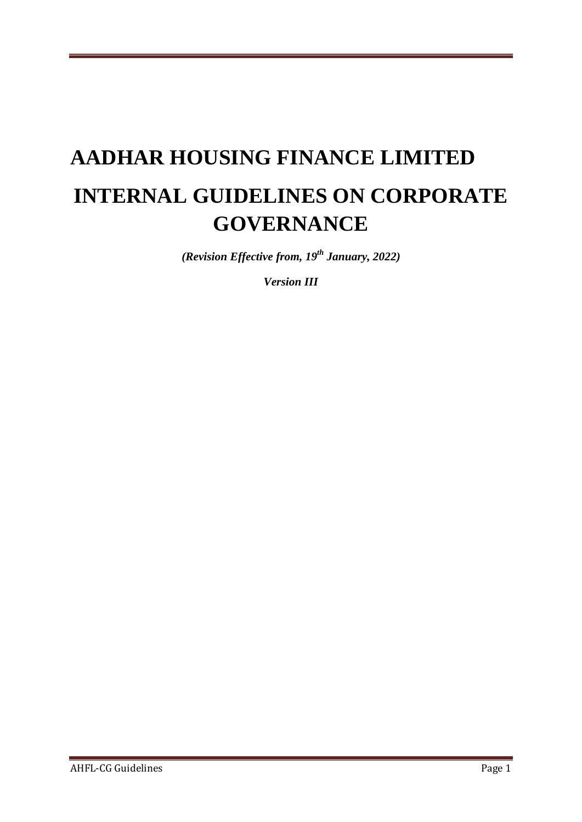# **AADHAR HOUSING FINANCE LIMITED INTERNAL GUIDELINES ON CORPORATE GOVERNANCE**

*(Revision Effective from, 19th January, 2022)*

*Version III*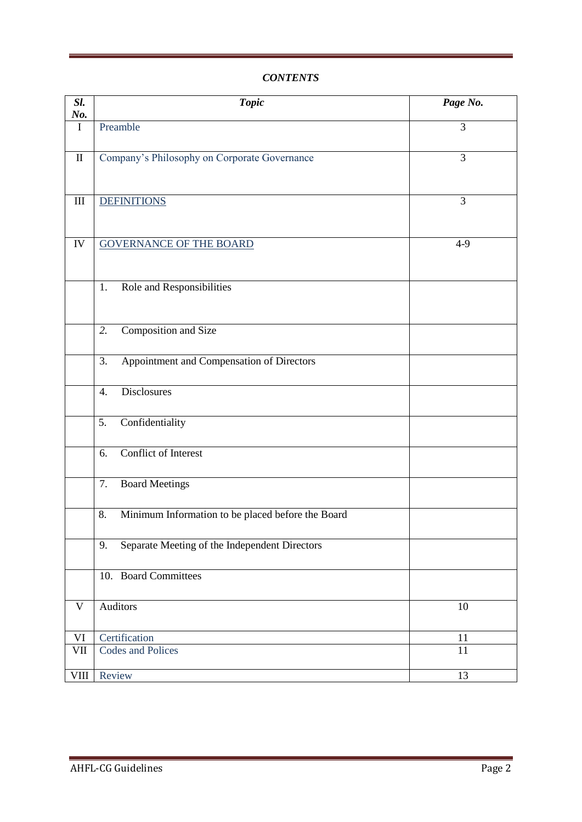# *CONTENTS*

| Sl.<br>No.         | <b>Topic</b>                                            | Page No.        |
|--------------------|---------------------------------------------------------|-----------------|
| $\mathbf I$        | Preamble                                                | 3               |
| $\mathbf{I}$       | Company's Philosophy on Corporate Governance            | 3               |
| $\mathop{\rm III}$ | <b>DEFINITIONS</b>                                      | 3               |
| ${\rm IV}$         | <b>GOVERNANCE OF THE BOARD</b>                          | $4 - 9$         |
|                    | 1.<br>Role and Responsibilities                         |                 |
|                    | Composition and Size<br>2.                              |                 |
|                    | Appointment and Compensation of Directors<br>3.         |                 |
|                    | <b>Disclosures</b><br>$\overline{4}$ .                  |                 |
|                    | Confidentiality<br>5.                                   |                 |
|                    | <b>Conflict of Interest</b><br>6.                       |                 |
|                    | 7.<br><b>Board Meetings</b>                             |                 |
|                    | Minimum Information to be placed before the Board<br>8. |                 |
|                    | Separate Meeting of the Independent Directors<br>9.     |                 |
|                    | 10. Board Committees                                    |                 |
| $\mathbf V$        | Auditors                                                | 10              |
| VI                 | Certification                                           | 11              |
| VII                | <b>Codes and Polices</b>                                | 11              |
| <b>VIII</b>        | Review                                                  | $\overline{13}$ |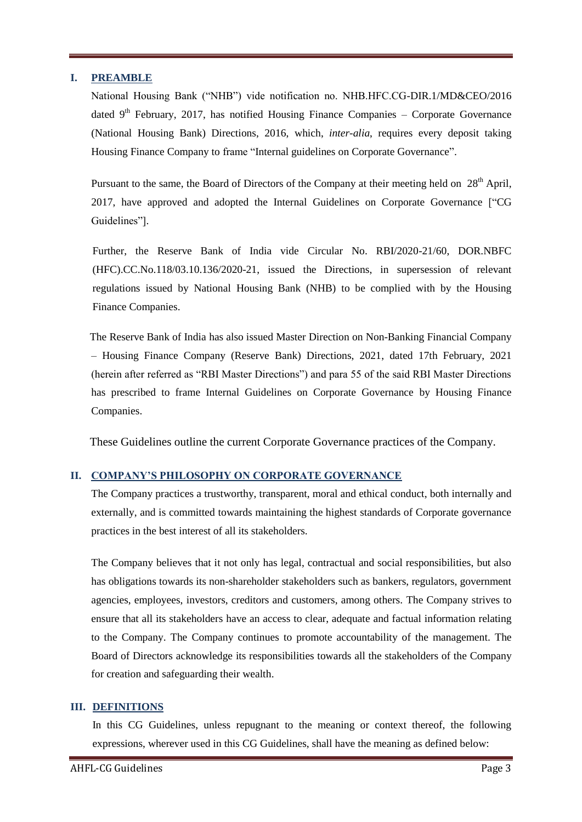## **I. PREAMBLE**

National Housing Bank ("NHB") vide notification no. NHB.HFC.CG-DIR.1/MD&CEO/2016 dated  $9<sup>th</sup>$  February, 2017, has notified Housing Finance Companies – Corporate Governance (National Housing Bank) Directions, 2016, which, *inter-alia*, requires every deposit taking Housing Finance Company to frame "Internal guidelines on Corporate Governance".

Pursuant to the same, the Board of Directors of the Company at their meeting held on  $28<sup>th</sup>$  April, 2017, have approved and adopted the Internal Guidelines on Corporate Governance ["CG Guidelines"].

Further, the Reserve Bank of India vide Circular No. RBI/2020-21/60, DOR.NBFC (HFC).CC.No.118/03.10.136/2020-21, issued the Directions, in supersession of relevant regulations issued by National Housing Bank (NHB) to be complied with by the Housing Finance Companies.

 The Reserve Bank of India has also issued Master Direction on Non-Banking Financial Company – Housing Finance Company (Reserve Bank) Directions, 2021, dated 17th February, 2021 (herein after referred as "RBI Master Directions") and para 55 of the said RBI Master Directions has prescribed to frame Internal Guidelines on Corporate Governance by Housing Finance Companies.

These Guidelines outline the current Corporate Governance practices of the Company.

# **II. COMPANY'S PHILOSOPHY ON CORPORATE GOVERNANCE**

The Company practices a trustworthy, transparent, moral and ethical conduct, both internally and externally, and is committed towards maintaining the highest standards of Corporate governance practices in the best interest of all its stakeholders.

The Company believes that it not only has legal, contractual and social responsibilities, but also has obligations towards its non-shareholder stakeholders such as bankers, regulators, government agencies, employees, investors, creditors and customers, among others. The Company strives to ensure that all its stakeholders have an access to clear, adequate and factual information relating to the Company. The Company continues to promote accountability of the management. The Board of Directors acknowledge its responsibilities towards all the stakeholders of the Company for creation and safeguarding their wealth.

## **III. DEFINITIONS**

In this CG Guidelines, unless repugnant to the meaning or context thereof, the following expressions, wherever used in this CG Guidelines, shall have the meaning as defined below: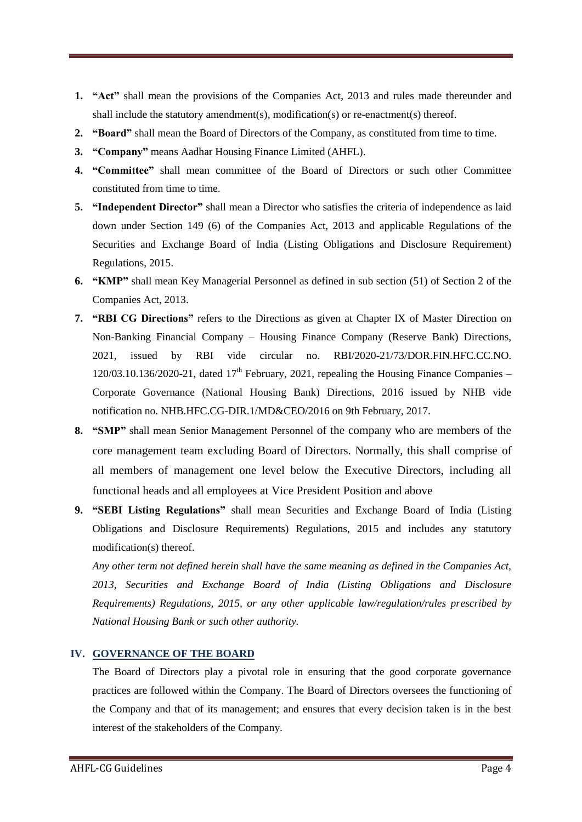- **1. "Act"** shall mean the provisions of the Companies Act, 2013 and rules made thereunder and shall include the statutory amendment(s), modification(s) or re-enactment(s) thereof.
- **2. "Board"** shall mean the Board of Directors of the Company, as constituted from time to time.
- **3. "Company"** means Aadhar Housing Finance Limited (AHFL).
- **4. "Committee"** shall mean committee of the Board of Directors or such other Committee constituted from time to time.
- **5. "Independent Director"** shall mean a Director who satisfies the criteria of independence as laid down under Section 149 (6) of the Companies Act, 2013 and applicable Regulations of the Securities and Exchange Board of India (Listing Obligations and Disclosure Requirement) Regulations, 2015.
- **6. "KMP"** shall mean Key Managerial Personnel as defined in sub section (51) of Section 2 of the Companies Act, 2013.
- **7. "RBI CG Directions"** refers to the Directions as given at Chapter IX of Master Direction on Non-Banking Financial Company – Housing Finance Company (Reserve Bank) Directions, 2021, issued by RBI vide circular no. RBI/2020-21/73/DOR.FIN.HFC.CC.NO.  $120/03.10.136/2020-21$ , dated  $17<sup>th</sup>$  February, 2021, repealing the Housing Finance Companies – Corporate Governance (National Housing Bank) Directions, 2016 issued by NHB vide notification no. NHB.HFC.CG-DIR.1/MD&CEO/2016 on 9th February, 2017.
- **8. "SMP"** shall mean Senior Management Personnel of the company who are members of the core management team excluding Board of Directors. Normally, this shall comprise of all members of management one level below the Executive Directors, including all functional heads and all employees at Vice President Position and above
- **9. "SEBI Listing Regulations"** shall mean Securities and Exchange Board of India (Listing Obligations and Disclosure Requirements) Regulations, 2015 and includes any statutory modification(s) thereof.

*Any other term not defined herein shall have the same meaning as defined in the Companies Act, 2013, Securities and Exchange Board of India (Listing Obligations and Disclosure Requirements) Regulations, 2015, or any other applicable law/regulation/rules prescribed by National Housing Bank or such other authority.*

# **IV. GOVERNANCE OF THE BOARD**

The Board of Directors play a pivotal role in ensuring that the good corporate governance practices are followed within the Company. The Board of Directors oversees the functioning of the Company and that of its management; and ensures that every decision taken is in the best interest of the stakeholders of the Company.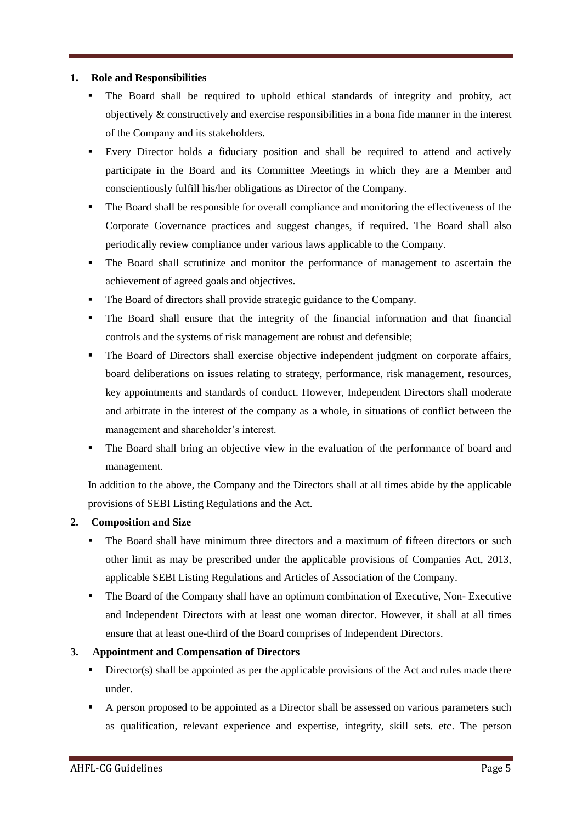# **1. Role and Responsibilities**

- The Board shall be required to uphold ethical standards of integrity and probity, act objectively & constructively and exercise responsibilities in a bona fide manner in the interest of the Company and its stakeholders.
- Every Director holds a fiduciary position and shall be required to attend and actively participate in the Board and its Committee Meetings in which they are a Member and conscientiously fulfill his/her obligations as Director of the Company.
- The Board shall be responsible for overall compliance and monitoring the effectiveness of the Corporate Governance practices and suggest changes, if required. The Board shall also periodically review compliance under various laws applicable to the Company.
- The Board shall scrutinize and monitor the performance of management to ascertain the achievement of agreed goals and objectives.
- The Board of directors shall provide strategic guidance to the Company.
- The Board shall ensure that the integrity of the financial information and that financial controls and the systems of risk management are robust and defensible;
- The Board of Directors shall exercise objective independent judgment on corporate affairs, board deliberations on issues relating to strategy, performance, risk management, resources, key appointments and standards of conduct. However, Independent Directors shall moderate and arbitrate in the interest of the company as a whole, in situations of conflict between the management and shareholder's interest.
- The Board shall bring an objective view in the evaluation of the performance of board and management.

In addition to the above, the Company and the Directors shall at all times abide by the applicable provisions of SEBI Listing Regulations and the Act.

# **2. Composition and Size**

- The Board shall have minimum three directors and a maximum of fifteen directors or such other limit as may be prescribed under the applicable provisions of Companies Act, 2013, applicable SEBI Listing Regulations and Articles of Association of the Company.
- The Board of the Company shall have an optimum combination of Executive, Non-Executive and Independent Directors with at least one woman director. However, it shall at all times ensure that at least one-third of the Board comprises of Independent Directors.

# **3. Appointment and Compensation of Directors**

- Director(s) shall be appointed as per the applicable provisions of the Act and rules made there under.
- A person proposed to be appointed as a Director shall be assessed on various parameters such as qualification, relevant experience and expertise, integrity, skill sets. etc. The person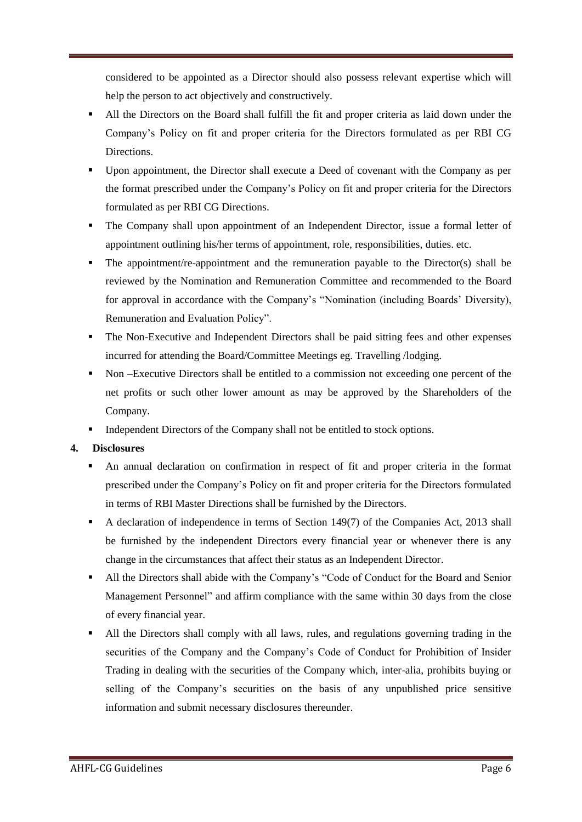considered to be appointed as a Director should also possess relevant expertise which will help the person to act objectively and constructively.

- All the Directors on the Board shall fulfill the fit and proper criteria as laid down under the Company's Policy on fit and proper criteria for the Directors formulated as per RBI CG Directions.
- Upon appointment, the Director shall execute a Deed of covenant with the Company as per the format prescribed under the Company's Policy on fit and proper criteria for the Directors formulated as per RBI CG Directions.
- The Company shall upon appointment of an Independent Director, issue a formal letter of appointment outlining his/her terms of appointment, role, responsibilities, duties. etc.
- The appointment/re-appointment and the remuneration payable to the Director(s) shall be reviewed by the Nomination and Remuneration Committee and recommended to the Board for approval in accordance with the Company's "Nomination (including Boards' Diversity), Remuneration and Evaluation Policy".
- The Non-Executive and Independent Directors shall be paid sitting fees and other expenses incurred for attending the Board/Committee Meetings eg. Travelling /lodging.
- Non –Executive Directors shall be entitled to a commission not exceeding one percent of the net profits or such other lower amount as may be approved by the Shareholders of the Company.
- Independent Directors of the Company shall not be entitled to stock options.

# **4. Disclosures**

- An annual declaration on confirmation in respect of fit and proper criteria in the format prescribed under the Company's Policy on fit and proper criteria for the Directors formulated in terms of RBI Master Directions shall be furnished by the Directors.
- A declaration of independence in terms of Section 149(7) of the Companies Act, 2013 shall be furnished by the independent Directors every financial year or whenever there is any change in the circumstances that affect their status as an Independent Director.
- All the Directors shall abide with the Company's "Code of Conduct for the Board and Senior Management Personnel" and affirm compliance with the same within 30 days from the close of every financial year.
- All the Directors shall comply with all laws, rules, and regulations governing trading in the securities of the Company and the Company's Code of Conduct for Prohibition of Insider Trading in dealing with the securities of the Company which, inter-alia, prohibits buying or selling of the Company's securities on the basis of any unpublished price sensitive information and submit necessary disclosures thereunder.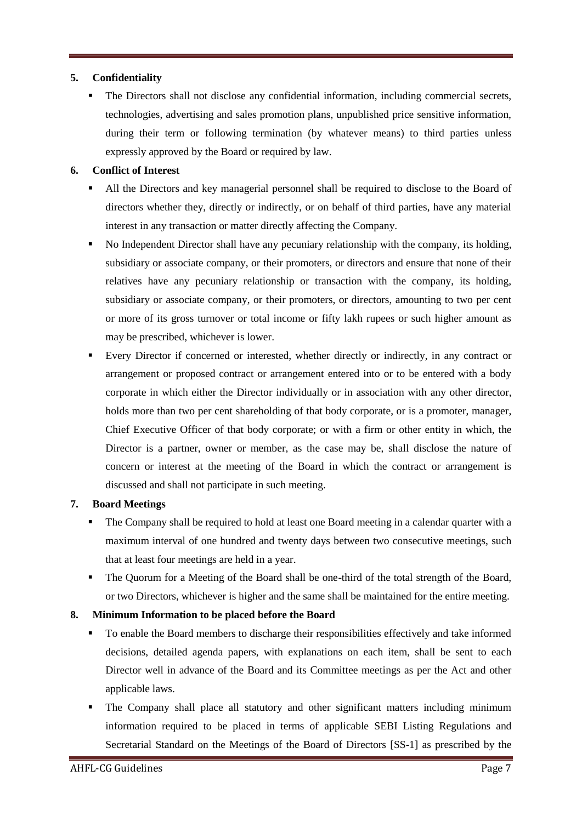# **5. Confidentiality**

 The Directors shall not disclose any confidential information, including commercial secrets, technologies, advertising and sales promotion plans, unpublished price sensitive information, during their term or following termination (by whatever means) to third parties unless expressly approved by the Board or required by law.

# **6. Conflict of Interest**

- All the Directors and key managerial personnel shall be required to disclose to the Board of directors whether they, directly or indirectly, or on behalf of third parties, have any material interest in any transaction or matter directly affecting the Company.
- No Independent Director shall have any pecuniary relationship with the company, its holding, subsidiary or associate company, or their promoters, or directors and ensure that none of their relatives have any pecuniary relationship or transaction with the company, its holding, subsidiary or associate company, or their promoters, or directors, amounting to two per cent or more of its gross turnover or total income or fifty lakh rupees or such higher amount as may be prescribed, whichever is lower.
- Every Director if concerned or interested, whether directly or indirectly, in any contract or arrangement or proposed contract or arrangement entered into or to be entered with a body corporate in which either the Director individually or in association with any other director, holds more than two per cent shareholding of that body corporate, or is a promoter, manager, Chief Executive Officer of that body corporate; or with a firm or other entity in which, the Director is a partner, owner or member, as the case may be, shall disclose the nature of concern or interest at the meeting of the Board in which the contract or arrangement is discussed and shall not participate in such meeting.

# **7. Board Meetings**

- The Company shall be required to hold at least one Board meeting in a calendar quarter with a maximum interval of one hundred and twenty days between two consecutive meetings, such that at least four meetings are held in a year.
- The Quorum for a Meeting of the Board shall be one-third of the total strength of the Board, or two Directors, whichever is higher and the same shall be maintained for the entire meeting.

# **8. Minimum Information to be placed before the Board**

- To enable the Board members to discharge their responsibilities effectively and take informed decisions, detailed agenda papers, with explanations on each item, shall be sent to each Director well in advance of the Board and its Committee meetings as per the Act and other applicable laws.
- The Company shall place all statutory and other significant matters including minimum information required to be placed in terms of applicable SEBI Listing Regulations and Secretarial Standard on the Meetings of the Board of Directors [SS-1] as prescribed by the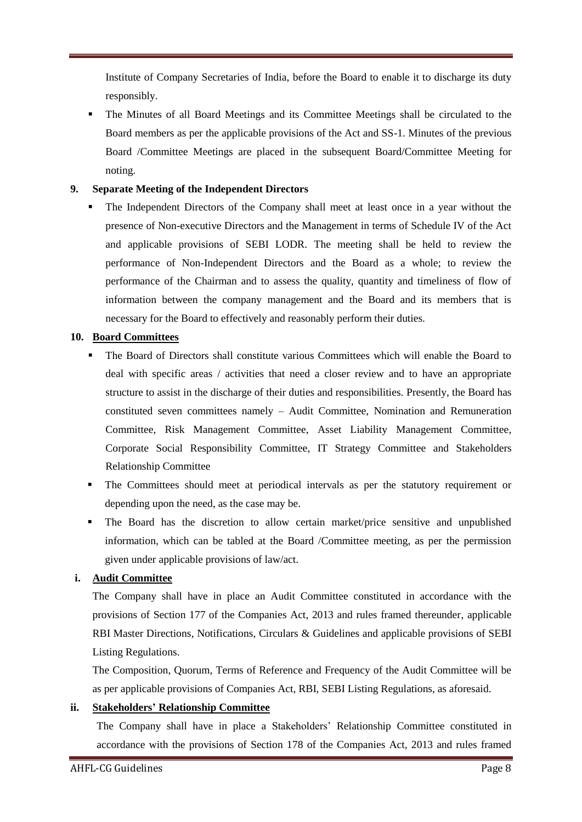Institute of Company Secretaries of India, before the Board to enable it to discharge its duty responsibly.

 The Minutes of all Board Meetings and its Committee Meetings shall be circulated to the Board members as per the applicable provisions of the Act and SS-1. Minutes of the previous Board /Committee Meetings are placed in the subsequent Board/Committee Meeting for noting.

# **9. Separate Meeting of the Independent Directors**

 The Independent Directors of the Company shall meet at least once in a year without the presence of Non-executive Directors and the Management in terms of Schedule IV of the Act and applicable provisions of SEBI LODR. The meeting shall be held to review the performance of Non-Independent Directors and the Board as a whole; to review the performance of the Chairman and to assess the quality, quantity and timeliness of flow of information between the company management and the Board and its members that is necessary for the Board to effectively and reasonably perform their duties.

# **10. Board Committees**

- The Board of Directors shall constitute various Committees which will enable the Board to deal with specific areas / activities that need a closer review and to have an appropriate structure to assist in the discharge of their duties and responsibilities. Presently, the Board has constituted seven committees namely – Audit Committee, Nomination and Remuneration Committee, Risk Management Committee, Asset Liability Management Committee, Corporate Social Responsibility Committee, IT Strategy Committee and Stakeholders Relationship Committee
- The Committees should meet at periodical intervals as per the statutory requirement or depending upon the need, as the case may be.
- The Board has the discretion to allow certain market/price sensitive and unpublished information, which can be tabled at the Board /Committee meeting, as per the permission given under applicable provisions of law/act.

# **i. Audit Committee**

The Company shall have in place an Audit Committee constituted in accordance with the provisions of Section 177 of the Companies Act, 2013 and rules framed thereunder, applicable RBI Master Directions, Notifications, Circulars & Guidelines and applicable provisions of SEBI Listing Regulations.

The Composition, Quorum, Terms of Reference and Frequency of the Audit Committee will be as per applicable provisions of Companies Act, RBI, SEBI Listing Regulations, as aforesaid.

# **ii. Stakeholders' Relationship Committee**

The Company shall have in place a Stakeholders' Relationship Committee constituted in accordance with the provisions of Section 178 of the Companies Act, 2013 and rules framed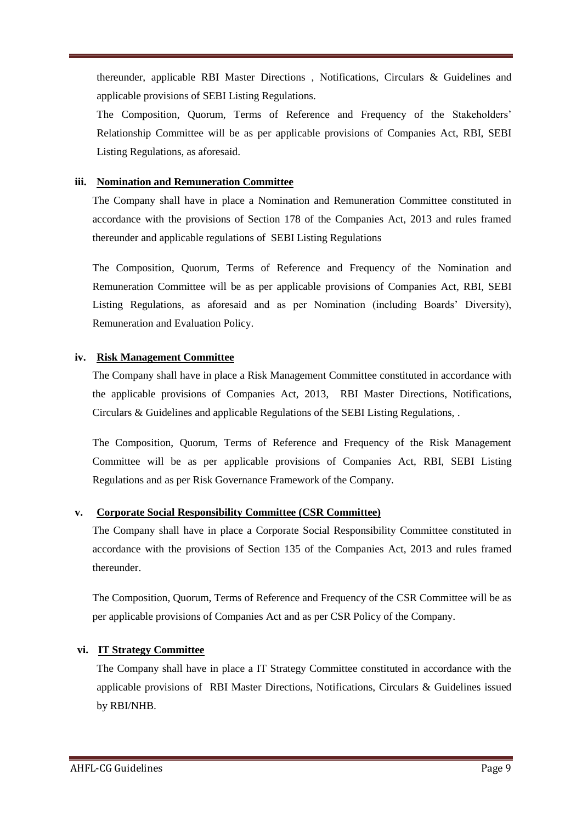thereunder, applicable RBI Master Directions , Notifications, Circulars & Guidelines and applicable provisions of SEBI Listing Regulations.

The Composition, Quorum, Terms of Reference and Frequency of the Stakeholders' Relationship Committee will be as per applicable provisions of Companies Act, RBI, SEBI Listing Regulations, as aforesaid.

# **iii. Nomination and Remuneration Committee**

The Company shall have in place a Nomination and Remuneration Committee constituted in accordance with the provisions of Section 178 of the Companies Act, 2013 and rules framed thereunder and applicable regulations of SEBI Listing Regulations

The Composition, Quorum, Terms of Reference and Frequency of the Nomination and Remuneration Committee will be as per applicable provisions of Companies Act, RBI, SEBI Listing Regulations, as aforesaid and as per Nomination (including Boards' Diversity), Remuneration and Evaluation Policy.

# **iv. Risk Management Committee**

The Company shall have in place a Risk Management Committee constituted in accordance with the applicable provisions of Companies Act, 2013, RBI Master Directions, Notifications, Circulars & Guidelines and applicable Regulations of the SEBI Listing Regulations, .

The Composition, Quorum, Terms of Reference and Frequency of the Risk Management Committee will be as per applicable provisions of Companies Act, RBI, SEBI Listing Regulations and as per Risk Governance Framework of the Company.

# **v. Corporate Social Responsibility Committee (CSR Committee)**

The Company shall have in place a Corporate Social Responsibility Committee constituted in accordance with the provisions of Section 135 of the Companies Act, 2013 and rules framed thereunder.

The Composition, Quorum, Terms of Reference and Frequency of the CSR Committee will be as per applicable provisions of Companies Act and as per CSR Policy of the Company.

# **vi. IT Strategy Committee**

The Company shall have in place a IT Strategy Committee constituted in accordance with the applicable provisions of RBI Master Directions, Notifications, Circulars & Guidelines issued by RBI/NHB.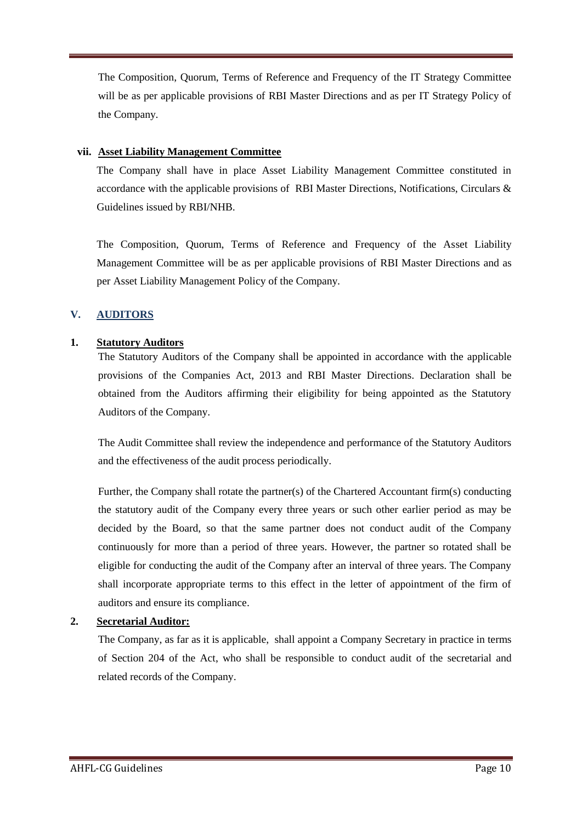The Composition, Quorum, Terms of Reference and Frequency of the IT Strategy Committee will be as per applicable provisions of RBI Master Directions and as per IT Strategy Policy of the Company.

# **vii. Asset Liability Management Committee**

The Company shall have in place Asset Liability Management Committee constituted in accordance with the applicable provisions of RBI Master Directions, Notifications, Circulars & Guidelines issued by RBI/NHB.

The Composition, Quorum, Terms of Reference and Frequency of the Asset Liability Management Committee will be as per applicable provisions of RBI Master Directions and as per Asset Liability Management Policy of the Company.

# **V. AUDITORS**

# **1. Statutory Auditors**

The Statutory Auditors of the Company shall be appointed in accordance with the applicable provisions of the Companies Act, 2013 and RBI Master Directions. Declaration shall be obtained from the Auditors affirming their eligibility for being appointed as the Statutory Auditors of the Company.

The Audit Committee shall review the independence and performance of the Statutory Auditors and the effectiveness of the audit process periodically.

Further, the Company shall rotate the partner(s) of the Chartered Accountant firm(s) conducting the statutory audit of the Company every three years or such other earlier period as may be decided by the Board, so that the same partner does not conduct audit of the Company continuously for more than a period of three years. However, the partner so rotated shall be eligible for conducting the audit of the Company after an interval of three years. The Company shall incorporate appropriate terms to this effect in the letter of appointment of the firm of auditors and ensure its compliance.

# **2. Secretarial Auditor:**

The Company, as far as it is applicable, shall appoint a Company Secretary in practice in terms of Section 204 of the Act, who shall be responsible to conduct audit of the secretarial and related records of the Company.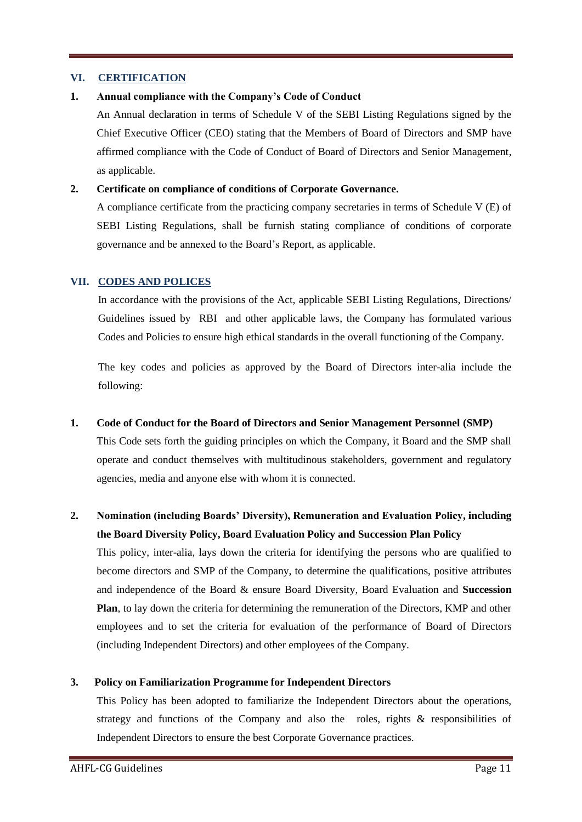# **VI. CERTIFICATION**

# **1. Annual compliance with the Company's Code of Conduct**

An Annual declaration in terms of Schedule V of the SEBI Listing Regulations signed by the Chief Executive Officer (CEO) stating that the Members of Board of Directors and SMP have affirmed compliance with the Code of Conduct of Board of Directors and Senior Management, as applicable.

# **2. Certificate on compliance of conditions of Corporate Governance.**

A compliance certificate from the practicing company secretaries in terms of Schedule V (E) of SEBI Listing Regulations, shall be furnish stating compliance of conditions of corporate governance and be annexed to the Board's Report, as applicable.

# **VII. CODES AND POLICES**

In accordance with the provisions of the Act, applicable SEBI Listing Regulations, Directions/ Guidelines issued by RBI and other applicable laws, the Company has formulated various Codes and Policies to ensure high ethical standards in the overall functioning of the Company.

The key codes and policies as approved by the Board of Directors inter-alia include the following:

## **1. Code of Conduct for the Board of Directors and Senior Management Personnel (SMP)**

This Code sets forth the guiding principles on which the Company, it Board and the SMP shall operate and conduct themselves with multitudinous stakeholders, government and regulatory agencies, media and anyone else with whom it is connected.

# **2. Nomination (including Boards' Diversity), Remuneration and Evaluation Policy, including the Board Diversity Policy, Board Evaluation Policy and Succession Plan Policy**

This policy, inter-alia, lays down the criteria for identifying the persons who are qualified to become directors and SMP of the Company, to determine the qualifications, positive attributes and independence of the Board & ensure Board Diversity, Board Evaluation and **Succession Plan**, to lay down the criteria for determining the remuneration of the Directors, KMP and other employees and to set the criteria for evaluation of the performance of Board of Directors (including Independent Directors) and other employees of the Company.

## **3. Policy on Familiarization Programme for Independent Directors**

This Policy has been adopted to familiarize the Independent Directors about the operations, strategy and functions of the Company and also the roles, rights & responsibilities of Independent Directors to ensure the best Corporate Governance practices.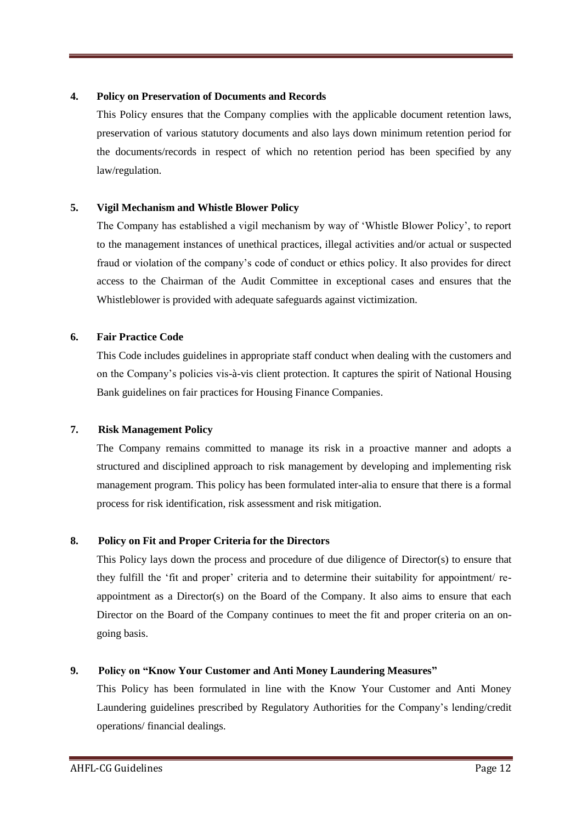# **4. Policy on Preservation of Documents and Records**

This Policy ensures that the Company complies with the applicable document retention laws, preservation of various statutory documents and also lays down minimum retention period for the documents/records in respect of which no retention period has been specified by any law/regulation.

# **5. Vigil Mechanism and Whistle Blower Policy**

The Company has established a vigil mechanism by way of 'Whistle Blower Policy', to report to the management instances of unethical practices, illegal activities and/or actual or suspected fraud or violation of the company's code of conduct or ethics policy. It also provides for direct access to the Chairman of the Audit Committee in exceptional cases and ensures that the Whistleblower is provided with adequate safeguards against victimization.

# **6. Fair Practice Code**

This Code includes guidelines in appropriate staff conduct when dealing with the customers and on the Company's policies vis-à-vis client protection. It captures the spirit of National Housing Bank guidelines on fair practices for Housing Finance Companies.

# **7. Risk Management Policy**

The Company remains committed to manage its risk in a proactive manner and adopts a structured and disciplined approach to risk management by developing and implementing risk management program. This policy has been formulated inter-alia to ensure that there is a formal process for risk identification, risk assessment and risk mitigation.

# **8. Policy on Fit and Proper Criteria for the Directors**

This Policy lays down the process and procedure of due diligence of Director(s) to ensure that they fulfill the 'fit and proper' criteria and to determine their suitability for appointment/ reappointment as a Director(s) on the Board of the Company. It also aims to ensure that each Director on the Board of the Company continues to meet the fit and proper criteria on an ongoing basis.

## **9. Policy on "Know Your Customer and Anti Money Laundering Measures"**

This Policy has been formulated in line with the Know Your Customer and Anti Money Laundering guidelines prescribed by Regulatory Authorities for the Company's lending/credit operations/ financial dealings.